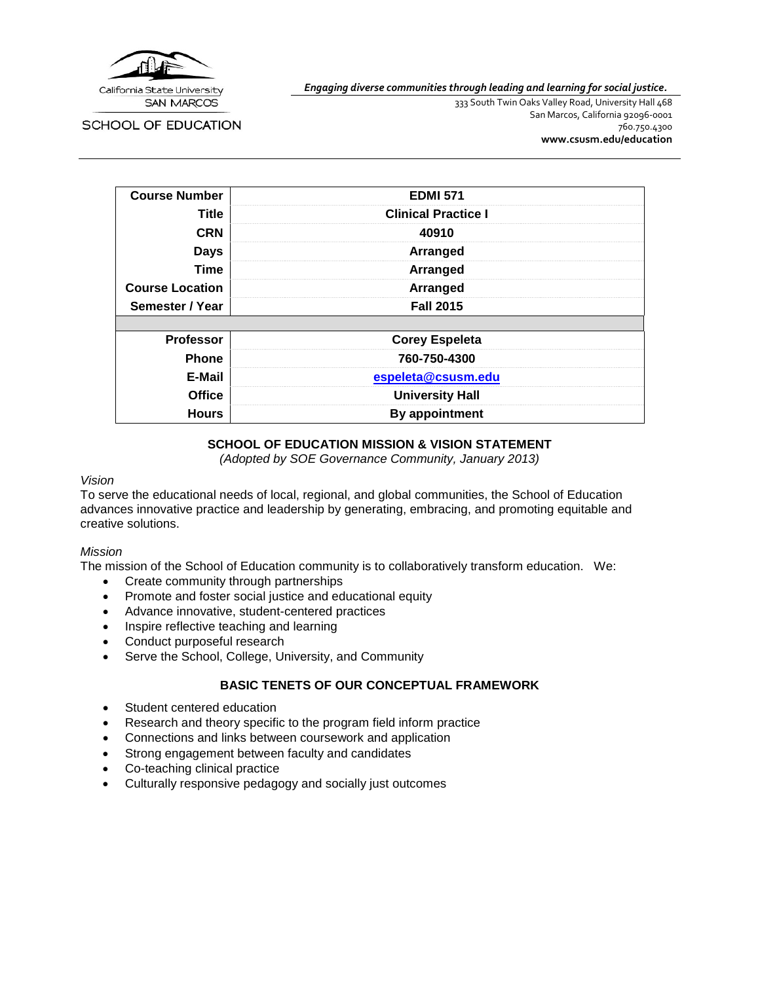

**SCHOOL OF EDUCATION** 

*Engaging diverse communities through leading and learning for social justice.*

333 South Twin Oaks Valley Road, University Hall 468 San Marcos, California 92096-0001 760.750.4300 **[www.csusm.edu/education](http://www.csusm.edu/education)**

| <b>Course Number</b>   | <b>EDMI 571</b>            |  |
|------------------------|----------------------------|--|
| Title                  | <b>Clinical Practice I</b> |  |
| <b>CRN</b>             | 40910                      |  |
| <b>Days</b>            | Arranged                   |  |
| <b>Time</b>            | Arranged                   |  |
| <b>Course Location</b> | Arranged                   |  |
| Semester / Year        | <b>Fall 2015</b>           |  |
|                        |                            |  |
| <b>Professor</b>       | <b>Corey Espeleta</b>      |  |
| <b>Phone</b>           | 760-750-4300               |  |
| E-Mail                 | espeleta@csusm.edu         |  |
| <b>Office</b>          | <b>University Hall</b>     |  |
| <b>Hours</b>           | By appointment             |  |

# **SCHOOL OF EDUCATION MISSION & VISION STATEMENT**

*(Adopted by SOE Governance Community, January 2013)*

#### *Vision*

To serve the educational needs of local, regional, and global communities, the School of Education advances innovative practice and leadership by generating, embracing, and promoting equitable and creative solutions.

## *Mission*

The mission of the School of Education community is to collaboratively transform education. We:

- Create community through partnerships
- Promote and foster social justice and educational equity
- Advance innovative, student-centered practices
- Inspire reflective teaching and learning
- Conduct purposeful research
- Serve the School, College, University, and Community

# **BASIC TENETS OF OUR CONCEPTUAL FRAMEWORK**

- Student centered education
- Research and theory specific to the program field inform practice
- Connections and links between coursework and application
- Strong engagement between faculty and candidates
- Co-teaching clinical practice
- Culturally responsive pedagogy and socially just outcomes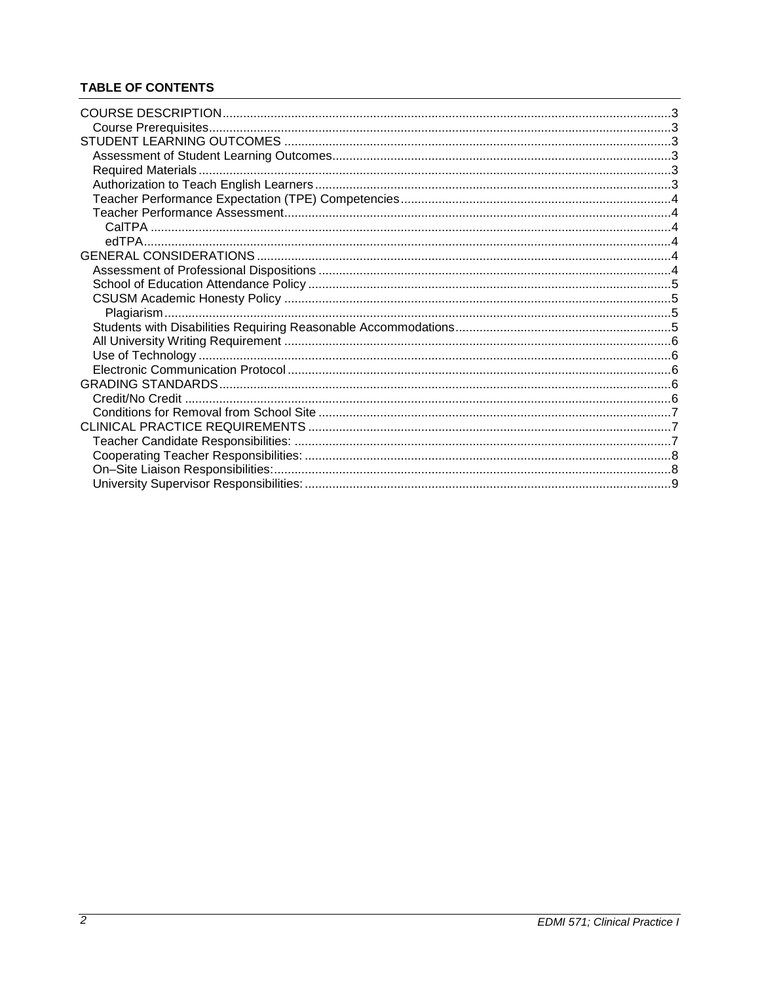# **TABLE OF CONTENTS**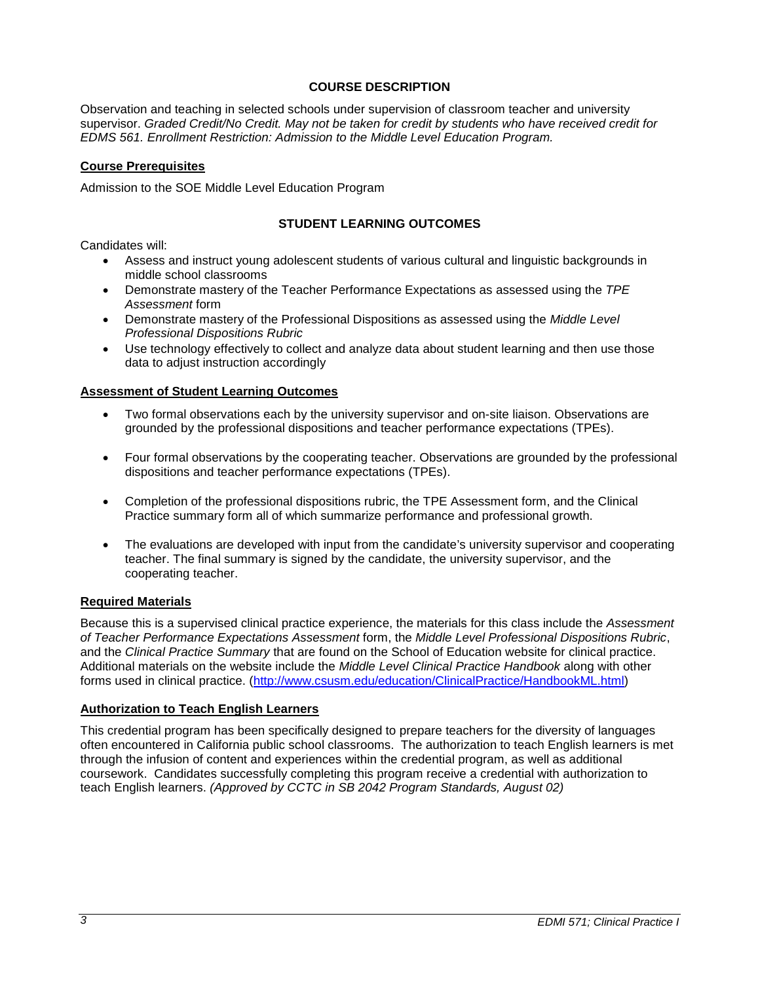## **COURSE DESCRIPTION**

<span id="page-2-0"></span>Observation and teaching in selected schools under supervision of classroom teacher and university supervisor. *Graded Credit/No Credit. May not be taken for credit by students who have received credit for EDMS 561. Enrollment Restriction: Admission to the Middle Level Education Program.*

#### <span id="page-2-1"></span>**Course Prerequisites**

<span id="page-2-2"></span>Admission to the SOE Middle Level Education Program

## **STUDENT LEARNING OUTCOMES**

Candidates will:

- Assess and instruct young adolescent students of various cultural and linguistic backgrounds in middle school classrooms
- Demonstrate mastery of the Teacher Performance Expectations as assessed using the *TPE Assessment* form
- Demonstrate mastery of the Professional Dispositions as assessed using the *Middle Level Professional Dispositions Rubric*
- Use technology effectively to collect and analyze data about student learning and then use those data to adjust instruction accordingly

#### <span id="page-2-3"></span>**Assessment of Student Learning Outcomes**

- Two formal observations each by the university supervisor and on-site liaison. Observations are grounded by the professional dispositions and teacher performance expectations (TPEs).
- Four formal observations by the cooperating teacher. Observations are grounded by the professional dispositions and teacher performance expectations (TPEs).
- Completion of the professional dispositions rubric, the TPE Assessment form, and the Clinical Practice summary form all of which summarize performance and professional growth.
- The evaluations are developed with input from the candidate's university supervisor and cooperating teacher. The final summary is signed by the candidate, the university supervisor, and the cooperating teacher.

## <span id="page-2-4"></span>**Required Materials**

Because this is a supervised clinical practice experience, the materials for this class include the *Assessment of Teacher Performance Expectations Assessment* form, the *Middle Level Professional Dispositions Rubric*, and the *Clinical Practice Summary* that are found on the School of Education website for clinical practice. Additional materials on the website include the *Middle Level Clinical Practice Handbook* along with other forms used in clinical practice. [\(http://www.csusm.edu/education/ClinicalPractice/HandbookML.html\)](http://www.csusm.edu/education/ClinicalPractice/HandbookML.html)

## <span id="page-2-5"></span>**Authorization to Teach English Learners**

This credential program has been specifically designed to prepare teachers for the diversity of languages often encountered in California public school classrooms. The authorization to teach English learners is met through the infusion of content and experiences within the credential program, as well as additional coursework. Candidates successfully completing this program receive a credential with authorization to teach English learners. *(Approved by CCTC in SB 2042 Program Standards, August 02)*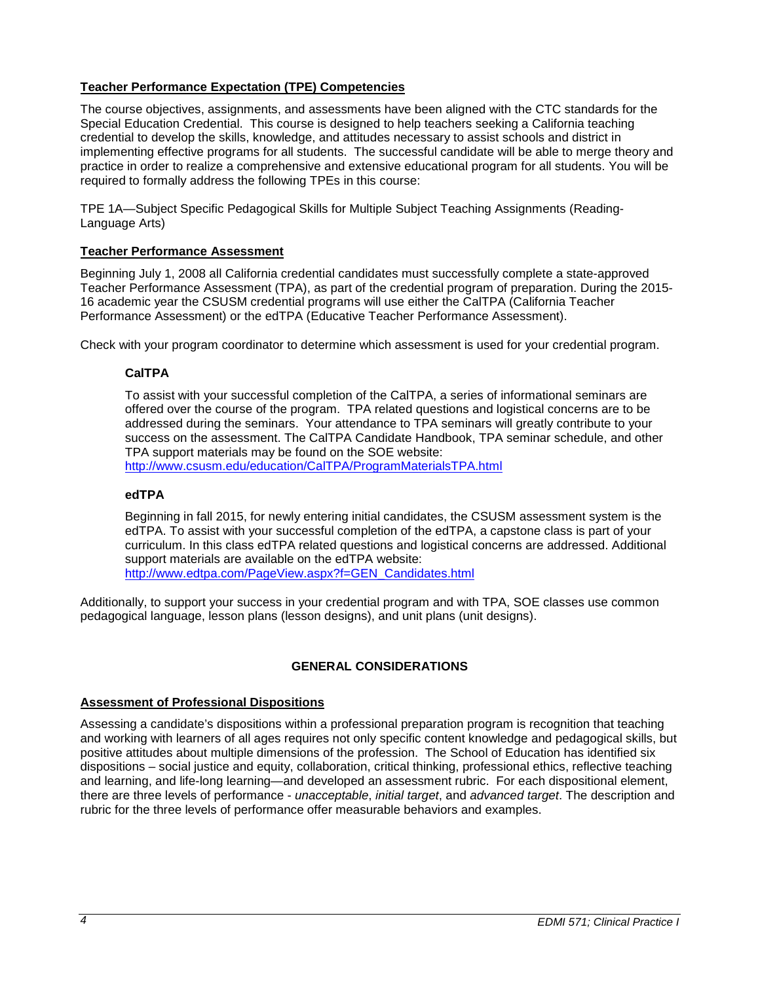# <span id="page-3-0"></span>**Teacher Performance Expectation (TPE) Competencies**

The course objectives, assignments, and assessments have been aligned with the CTC standards for the Special Education Credential. This course is designed to help teachers seeking a California teaching credential to develop the skills, knowledge, and attitudes necessary to assist schools and district in implementing effective programs for all students. The successful candidate will be able to merge theory and practice in order to realize a comprehensive and extensive educational program for all students. You will be required to formally address the following TPEs in this course:

TPE 1A—Subject Specific Pedagogical Skills for Multiple Subject Teaching Assignments (Reading-Language Arts)

#### <span id="page-3-1"></span>**Teacher Performance Assessment**

Beginning July 1, 2008 all California credential candidates must successfully complete a state-approved Teacher Performance Assessment (TPA), as part of the credential program of preparation. During the 2015- 16 academic year the CSUSM credential programs will use either the CalTPA (California Teacher Performance Assessment) or the edTPA (Educative Teacher Performance Assessment).

<span id="page-3-2"></span>Check with your program coordinator to determine which assessment is used for your credential program.

#### **CalTPA**

To assist with your successful completion of the CalTPA, a series of informational seminars are offered over the course of the program. TPA related questions and logistical concerns are to be addressed during the seminars. Your attendance to TPA seminars will greatly contribute to your success on the assessment. The CalTPA Candidate Handbook, TPA seminar schedule, and other TPA support materials may be found on the SOE website:

<http://www.csusm.edu/education/CalTPA/ProgramMaterialsTPA.html>

#### <span id="page-3-3"></span>**edTPA**

Beginning in fall 2015, for newly entering initial candidates, the CSUSM assessment system is the edTPA. To assist with your successful completion of the edTPA, a capstone class is part of your curriculum. In this class edTPA related questions and logistical concerns are addressed. Additional support materials are available on the edTPA website: [http://www.edtpa.com/PageView.aspx?f=GEN\\_Candidates.html](http://www.edtpa.com/PageView.aspx?f=GEN_Candidates.html)

Additionally, to support your success in your credential program and with TPA, SOE classes use common pedagogical language, lesson plans (lesson designs), and unit plans (unit designs).

## **GENERAL CONSIDERATIONS**

#### <span id="page-3-5"></span><span id="page-3-4"></span>**Assessment of Professional Dispositions**

Assessing a candidate's dispositions within a professional preparation program is recognition that teaching and working with learners of all ages requires not only specific content knowledge and pedagogical skills, but positive attitudes about multiple dimensions of the profession. The School of Education has identified six dispositions – social justice and equity, collaboration, critical thinking, professional ethics, reflective teaching and learning, and life-long learning—and developed an assessment rubric. For each dispositional element, there are three levels of performance - *unacceptable*, *initial target*, and *advanced target*. The description and rubric for the three levels of performance offer measurable behaviors and examples.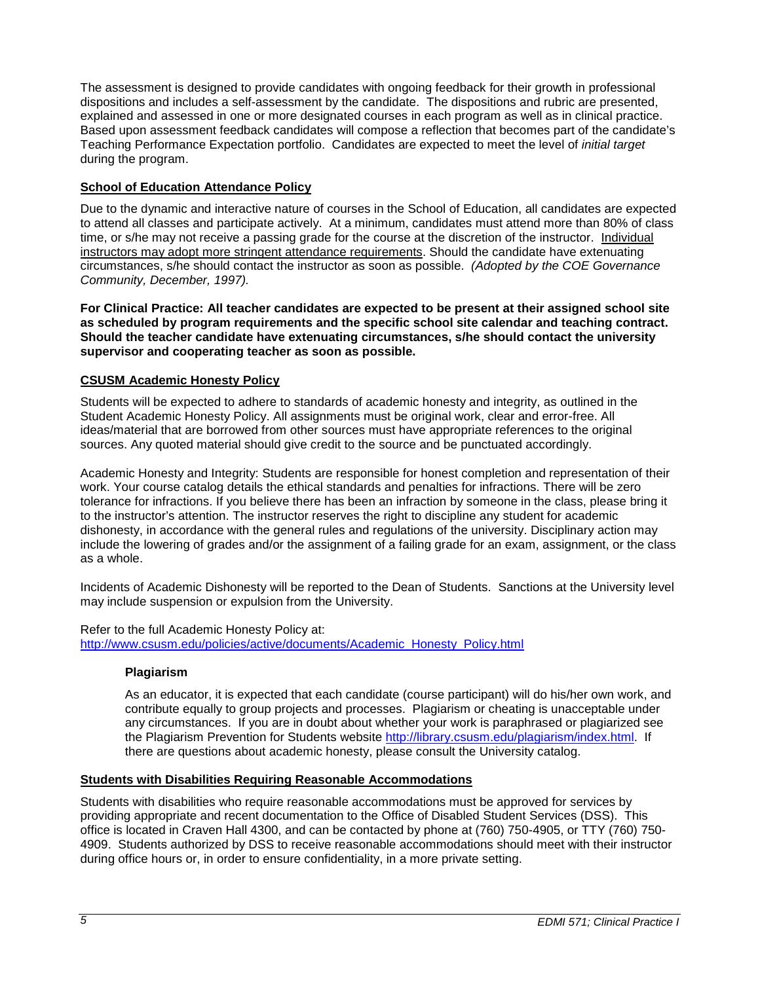The assessment is designed to provide candidates with ongoing feedback for their growth in professional dispositions and includes a self-assessment by the candidate. The dispositions and rubric are presented, explained and assessed in one or more designated courses in each program as well as in clinical practice. Based upon assessment feedback candidates will compose a reflection that becomes part of the candidate's Teaching Performance Expectation portfolio. Candidates are expected to meet the level of *initial target* during the program.

# <span id="page-4-0"></span>**School of Education Attendance Policy**

Due to the dynamic and interactive nature of courses in the School of Education, all candidates are expected to attend all classes and participate actively. At a minimum, candidates must attend more than 80% of class time, or s/he may not receive a passing grade for the course at the discretion of the instructor. Individual instructors may adopt more stringent attendance requirements. Should the candidate have extenuating circumstances, s/he should contact the instructor as soon as possible. *(Adopted by the COE Governance Community, December, 1997).*

**For Clinical Practice: All teacher candidates are expected to be present at their assigned school site as scheduled by program requirements and the specific school site calendar and teaching contract. Should the teacher candidate have extenuating circumstances, s/he should contact the university supervisor and cooperating teacher as soon as possible.** 

## <span id="page-4-1"></span>**CSUSM Academic Honesty Policy**

Students will be expected to adhere to standards of academic honesty and integrity, as outlined in the Student Academic Honesty Policy. All assignments must be original work, clear and error-free. All ideas/material that are borrowed from other sources must have appropriate references to the original sources. Any quoted material should give credit to the source and be punctuated accordingly.

Academic Honesty and Integrity: Students are responsible for honest completion and representation of their work. Your course catalog details the ethical standards and penalties for infractions. There will be zero tolerance for infractions. If you believe there has been an infraction by someone in the class, please bring it to the instructor's attention. The instructor reserves the right to discipline any student for academic dishonesty, in accordance with the general rules and regulations of the university. Disciplinary action may include the lowering of grades and/or the assignment of a failing grade for an exam, assignment, or the class as a whole.

Incidents of Academic Dishonesty will be reported to the Dean of Students. Sanctions at the University level may include suspension or expulsion from the University.

<span id="page-4-2"></span>Refer to the full Academic Honesty Policy at: [http://www.csusm.edu/policies/active/documents/Academic\\_Honesty\\_Policy.html](http://www.csusm.edu/policies/active/documents/Academic_Honesty_Policy.html)

## **Plagiarism**

As an educator, it is expected that each candidate (course participant) will do his/her own work, and contribute equally to group projects and processes. Plagiarism or cheating is unacceptable under any circumstances. If you are in doubt about whether your work is paraphrased or plagiarized see the Plagiarism Prevention for Students website [http://library.csusm.edu/plagiarism/index.html.](http://library.csusm.edu/plagiarism/index.html) If there are questions about academic honesty, please consult the University catalog.

## <span id="page-4-3"></span>**Students with Disabilities Requiring Reasonable Accommodations**

Students with disabilities who require reasonable accommodations must be approved for services by providing appropriate and recent documentation to the Office of Disabled Student Services (DSS). This office is located in Craven Hall 4300, and can be contacted by phone at (760) 750-4905, or TTY (760) 750- 4909. Students authorized by DSS to receive reasonable accommodations should meet with their instructor during office hours or, in order to ensure confidentiality, in a more private setting.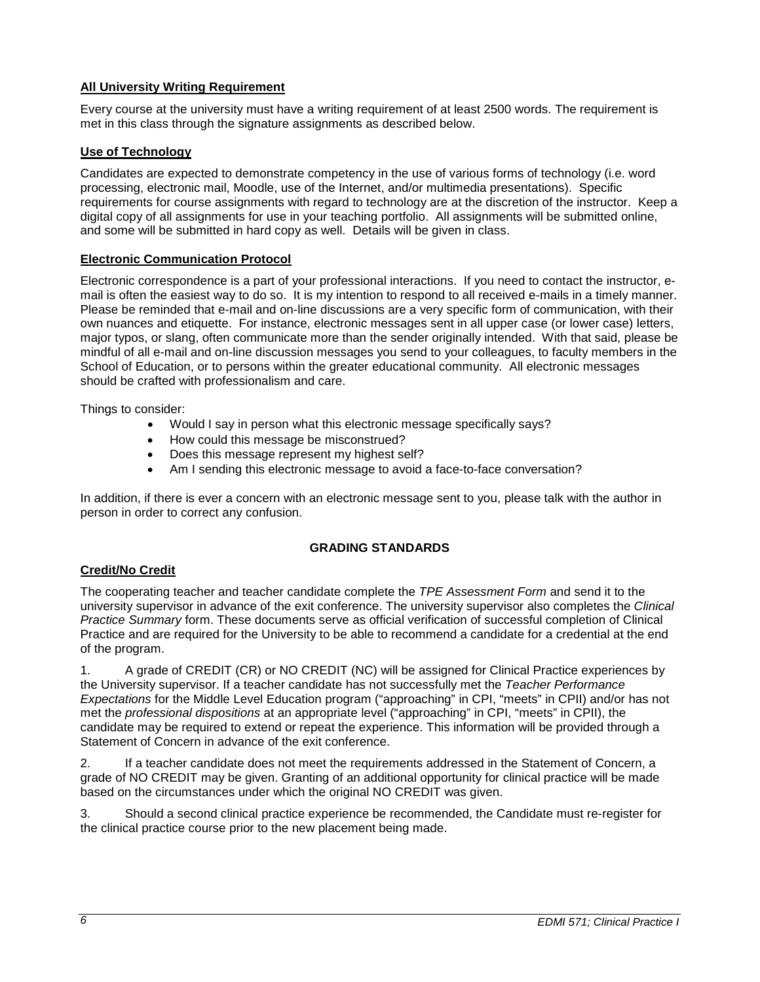# <span id="page-5-0"></span>**All University Writing Requirement**

Every course at the university must have a writing requirement of at least 2500 words. The requirement is met in this class through the signature assignments as described below.

## <span id="page-5-1"></span>**Use of Technology**

Candidates are expected to demonstrate competency in the use of various forms of technology (i.e. word processing, electronic mail, Moodle, use of the Internet, and/or multimedia presentations). Specific requirements for course assignments with regard to technology are at the discretion of the instructor. Keep a digital copy of all assignments for use in your teaching portfolio. All assignments will be submitted online, and some will be submitted in hard copy as well. Details will be given in class.

# <span id="page-5-2"></span>**Electronic Communication Protocol**

Electronic correspondence is a part of your professional interactions. If you need to contact the instructor, email is often the easiest way to do so. It is my intention to respond to all received e-mails in a timely manner. Please be reminded that e-mail and on-line discussions are a very specific form of communication, with their own nuances and etiquette. For instance, electronic messages sent in all upper case (or lower case) letters, major typos, or slang, often communicate more than the sender originally intended. With that said, please be mindful of all e-mail and on-line discussion messages you send to your colleagues, to faculty members in the School of Education, or to persons within the greater educational community. All electronic messages should be crafted with professionalism and care.

Things to consider:

- Would I say in person what this electronic message specifically says?
- How could this message be misconstrued?
- Does this message represent my highest self?
- Am I sending this electronic message to avoid a face-to-face conversation?

In addition, if there is ever a concern with an electronic message sent to you, please talk with the author in person in order to correct any confusion.

## **GRADING STANDARDS**

# <span id="page-5-4"></span><span id="page-5-3"></span>**Credit/No Credit**

The cooperating teacher and teacher candidate complete the *TPE Assessment Form* and send it to the university supervisor in advance of the exit conference. The university supervisor also completes the *Clinical Practice Summary* form. These documents serve as official verification of successful completion of Clinical Practice and are required for the University to be able to recommend a candidate for a credential at the end of the program.

1. A grade of CREDIT (CR) or NO CREDIT (NC) will be assigned for Clinical Practice experiences by the University supervisor. If a teacher candidate has not successfully met the *Teacher Performance Expectations* for the Middle Level Education program ("approaching" in CPI, "meets" in CPII) and/or has not met the *professional dispositions* at an appropriate level ("approaching" in CPI, "meets" in CPII), the candidate may be required to extend or repeat the experience. This information will be provided through a Statement of Concern in advance of the exit conference.

2. If a teacher candidate does not meet the requirements addressed in the Statement of Concern, a grade of NO CREDIT may be given. Granting of an additional opportunity for clinical practice will be made based on the circumstances under which the original NO CREDIT was given.

3. Should a second clinical practice experience be recommended, the Candidate must re-register for the clinical practice course prior to the new placement being made.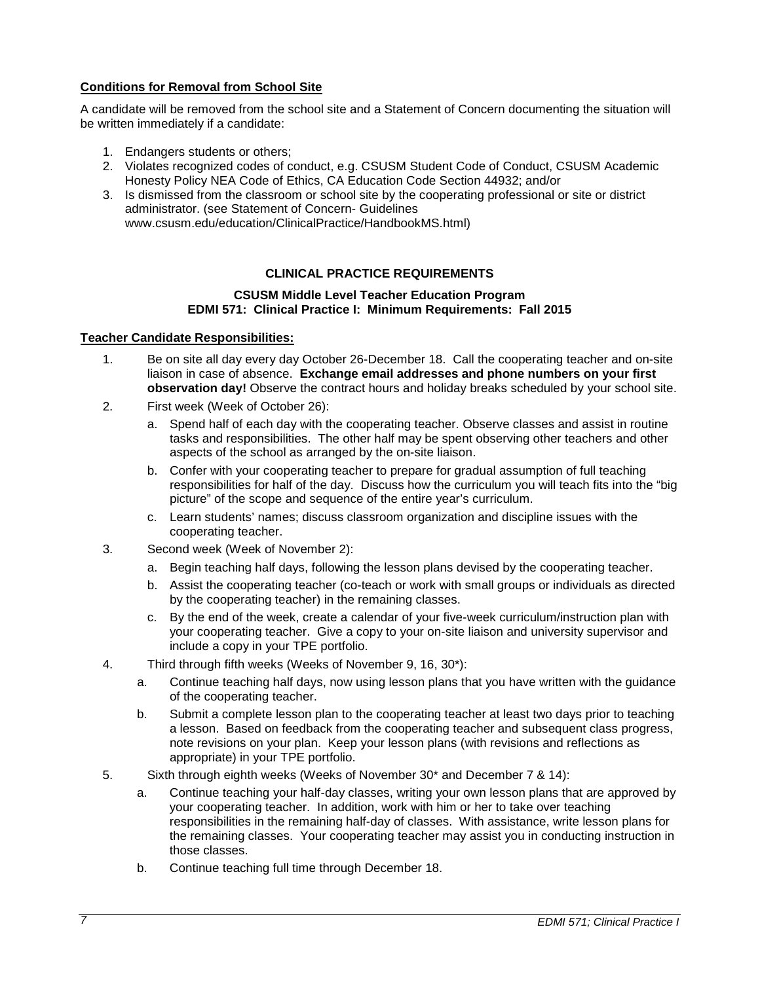# <span id="page-6-0"></span>**Conditions for Removal from School Site**

A candidate will be removed from the school site and a Statement of Concern documenting the situation will be written immediately if a candidate:

- 1. Endangers students or others;
- 2. Violates recognized codes of conduct, e.g. CSUSM Student Code of Conduct, CSUSM Academic Honesty Policy NEA Code of Ethics, CA Education Code Section 44932; and/or
- 3. Is dismissed from the classroom or school site by the cooperating professional or site or district administrator. (see Statement of Concern- Guidelines www.csusm.edu/education/ClinicalPractice/HandbookMS.html)

## **CLINICAL PRACTICE REQUIREMENTS**

#### **CSUSM Middle Level Teacher Education Program EDMI 571: Clinical Practice I: Minimum Requirements: Fall 2015**

#### <span id="page-6-2"></span><span id="page-6-1"></span>**Teacher Candidate Responsibilities:**

- 1. Be on site all day every day October 26-December 18. Call the cooperating teacher and on-site liaison in case of absence. **Exchange email addresses and phone numbers on your first observation day!** Observe the contract hours and holiday breaks scheduled by your school site.
- 2. First week (Week of October 26):
	- a. Spend half of each day with the cooperating teacher. Observe classes and assist in routine tasks and responsibilities. The other half may be spent observing other teachers and other aspects of the school as arranged by the on-site liaison.
	- b. Confer with your cooperating teacher to prepare for gradual assumption of full teaching responsibilities for half of the day. Discuss how the curriculum you will teach fits into the "big picture" of the scope and sequence of the entire year's curriculum.
	- c. Learn students' names; discuss classroom organization and discipline issues with the cooperating teacher.
- 3. Second week (Week of November 2):
	- a. Begin teaching half days, following the lesson plans devised by the cooperating teacher.
	- b. Assist the cooperating teacher (co-teach or work with small groups or individuals as directed by the cooperating teacher) in the remaining classes.
	- c. By the end of the week, create a calendar of your five-week curriculum/instruction plan with your cooperating teacher. Give a copy to your on-site liaison and university supervisor and include a copy in your TPE portfolio.
- 4. Third through fifth weeks (Weeks of November 9, 16, 30\*):
	- a. Continue teaching half days, now using lesson plans that you have written with the guidance of the cooperating teacher.
	- b. Submit a complete lesson plan to the cooperating teacher at least two days prior to teaching a lesson. Based on feedback from the cooperating teacher and subsequent class progress, note revisions on your plan. Keep your lesson plans (with revisions and reflections as appropriate) in your TPE portfolio.
- 5. Sixth through eighth weeks (Weeks of November 30\* and December 7 & 14):
	- a. Continue teaching your half-day classes, writing your own lesson plans that are approved by your cooperating teacher. In addition, work with him or her to take over teaching responsibilities in the remaining half-day of classes. With assistance, write lesson plans for the remaining classes. Your cooperating teacher may assist you in conducting instruction in those classes.
	- b. Continue teaching full time through December 18.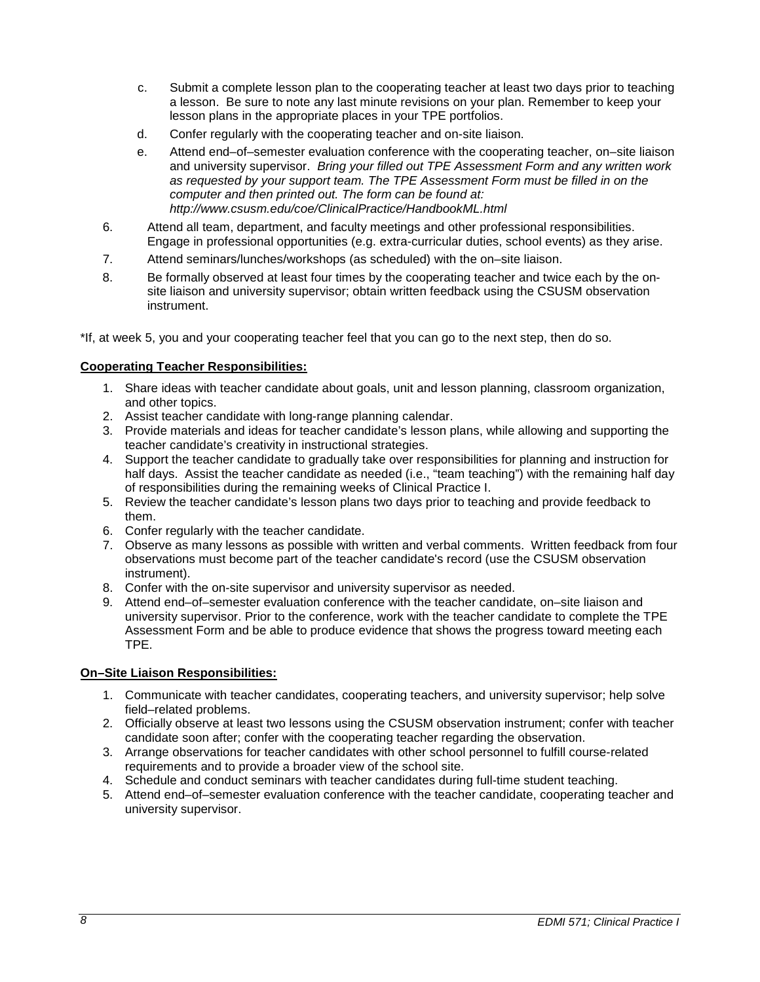- c. Submit a complete lesson plan to the cooperating teacher at least two days prior to teaching a lesson. Be sure to note any last minute revisions on your plan. Remember to keep your lesson plans in the appropriate places in your TPE portfolios.
- d. Confer regularly with the cooperating teacher and on-site liaison.
- e. Attend end–of–semester evaluation conference with the cooperating teacher, on–site liaison and university supervisor. *Bring your filled out TPE Assessment Form and any written work as requested by your support team. The TPE Assessment Form must be filled in on the computer and then printed out. The form can be found at: http://www.csusm.edu/coe/ClinicalPractice/HandbookML.html*
- 6. Attend all team, department, and faculty meetings and other professional responsibilities. Engage in professional opportunities (e.g. extra-curricular duties, school events) as they arise.
- 7. Attend seminars/lunches/workshops (as scheduled) with the on–site liaison.
- 8. Be formally observed at least four times by the cooperating teacher and twice each by the onsite liaison and university supervisor; obtain written feedback using the CSUSM observation instrument.

\*If, at week 5, you and your cooperating teacher feel that you can go to the next step, then do so.

## <span id="page-7-0"></span>**Cooperating Teacher Responsibilities:**

- 1. Share ideas with teacher candidate about goals, unit and lesson planning, classroom organization, and other topics.
- 2. Assist teacher candidate with long-range planning calendar.
- 3. Provide materials and ideas for teacher candidate's lesson plans, while allowing and supporting the teacher candidate's creativity in instructional strategies.
- 4. Support the teacher candidate to gradually take over responsibilities for planning and instruction for half days. Assist the teacher candidate as needed (i.e., "team teaching") with the remaining half day of responsibilities during the remaining weeks of Clinical Practice I.
- 5. Review the teacher candidate's lesson plans two days prior to teaching and provide feedback to them.
- 6. Confer regularly with the teacher candidate.
- 7. Observe as many lessons as possible with written and verbal comments. Written feedback from four observations must become part of the teacher candidate's record (use the CSUSM observation instrument).
- 8. Confer with the on-site supervisor and university supervisor as needed.
- 9. Attend end–of–semester evaluation conference with the teacher candidate, on–site liaison and university supervisor. Prior to the conference, work with the teacher candidate to complete the TPE Assessment Form and be able to produce evidence that shows the progress toward meeting each TPE.

## <span id="page-7-1"></span>**On–Site Liaison Responsibilities:**

- 1. Communicate with teacher candidates, cooperating teachers, and university supervisor; help solve field–related problems.
- 2. Officially observe at least two lessons using the CSUSM observation instrument; confer with teacher candidate soon after; confer with the cooperating teacher regarding the observation.
- 3. Arrange observations for teacher candidates with other school personnel to fulfill course-related requirements and to provide a broader view of the school site.
- 4. Schedule and conduct seminars with teacher candidates during full-time student teaching.
- 5. Attend end–of–semester evaluation conference with the teacher candidate, cooperating teacher and university supervisor.